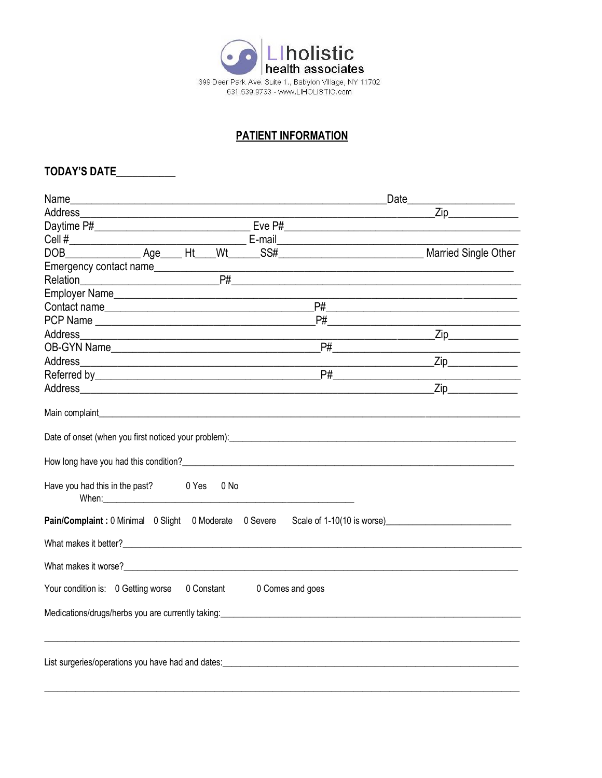

# **PATIENT INFORMATION**

# TODAY'S DATE

|                                                                                                                                                                                                                                                                                                                                                                                                                                                                                           |                                                                                                                      | Date <sub>_____</sub>                                                                     |
|-------------------------------------------------------------------------------------------------------------------------------------------------------------------------------------------------------------------------------------------------------------------------------------------------------------------------------------------------------------------------------------------------------------------------------------------------------------------------------------------|----------------------------------------------------------------------------------------------------------------------|-------------------------------------------------------------------------------------------|
| Address <b>Management Community</b> and the contract of the contract of the contract of the contract of the contract of the contract of the contract of the contract of the contract of the contract of the contract of the contrac                                                                                                                                                                                                                                                       |                                                                                                                      | $\mathsf{Zip}$ $\mathsf{Zip}$                                                             |
|                                                                                                                                                                                                                                                                                                                                                                                                                                                                                           |                                                                                                                      |                                                                                           |
|                                                                                                                                                                                                                                                                                                                                                                                                                                                                                           |                                                                                                                      |                                                                                           |
|                                                                                                                                                                                                                                                                                                                                                                                                                                                                                           |                                                                                                                      |                                                                                           |
| Emergency contact name                                                                                                                                                                                                                                                                                                                                                                                                                                                                    | <u> 1989 - Johann John Harry Harry Harry Harry Harry Harry Harry Harry Harry Harry Harry Harry Harry Harry Harry</u> |                                                                                           |
| Relation P# PH                                                                                                                                                                                                                                                                                                                                                                                                                                                                            |                                                                                                                      |                                                                                           |
|                                                                                                                                                                                                                                                                                                                                                                                                                                                                                           |                                                                                                                      | the control of the control of the control of the control of the control of the control of |
| Contact name                                                                                                                                                                                                                                                                                                                                                                                                                                                                              |                                                                                                                      |                                                                                           |
|                                                                                                                                                                                                                                                                                                                                                                                                                                                                                           |                                                                                                                      |                                                                                           |
|                                                                                                                                                                                                                                                                                                                                                                                                                                                                                           |                                                                                                                      |                                                                                           |
|                                                                                                                                                                                                                                                                                                                                                                                                                                                                                           |                                                                                                                      |                                                                                           |
|                                                                                                                                                                                                                                                                                                                                                                                                                                                                                           |                                                                                                                      | $\mathsf{Zip}$                                                                            |
|                                                                                                                                                                                                                                                                                                                                                                                                                                                                                           |                                                                                                                      |                                                                                           |
|                                                                                                                                                                                                                                                                                                                                                                                                                                                                                           |                                                                                                                      | $\mathsf{Zip}$                                                                            |
| Main complaint experience of the state of the state of the state of the state of the state of the state of the<br>Have you had this in the past? 0 Yes 0 No<br>When: When the contract of the contract of the contract of the contract of the contract of the contract of the contract of the contract of the contract of the contract of the contract of the contract of the contract of the<br><b>Pain/Complaint:</b> 0 Minimal 0 Slight 0 Moderate 0 Severe Scale of 1-10(10 is worse) |                                                                                                                      |                                                                                           |
| What makes it worse?<br><u> What makes it worse?</u>                                                                                                                                                                                                                                                                                                                                                                                                                                      |                                                                                                                      |                                                                                           |
| Your condition is: 0 Getting worse 0 Constant 0 Comes and goes                                                                                                                                                                                                                                                                                                                                                                                                                            |                                                                                                                      |                                                                                           |
| Medications/drugs/herbs you are currently taking: Network and the control of the control of the control of the                                                                                                                                                                                                                                                                                                                                                                            |                                                                                                                      |                                                                                           |
|                                                                                                                                                                                                                                                                                                                                                                                                                                                                                           |                                                                                                                      |                                                                                           |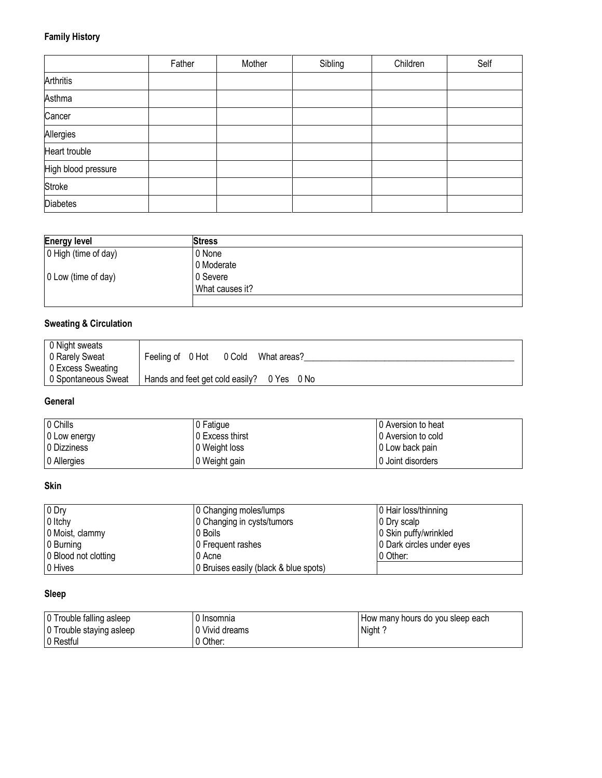## **Family History**

|                     | Father | Mother | Sibling | Children | Self |
|---------------------|--------|--------|---------|----------|------|
| <b>Arthritis</b>    |        |        |         |          |      |
| Asthma              |        |        |         |          |      |
| Cancer              |        |        |         |          |      |
| Allergies           |        |        |         |          |      |
| Heart trouble       |        |        |         |          |      |
| High blood pressure |        |        |         |          |      |
| Stroke              |        |        |         |          |      |
| Diabetes            |        |        |         |          |      |

| <b>Energy level</b>  | Stress          |  |
|----------------------|-----------------|--|
| 0 High (time of day) | 0 None          |  |
|                      | 0 Moderate      |  |
| 0 Low (time of day)  | 0 Severe        |  |
|                      | What causes it? |  |
|                      |                 |  |

# **Sweating & Circulation**

| 0 Night sweats      |                                            |
|---------------------|--------------------------------------------|
| 0 Rarely Sweat      | Feeling of 0 Hot 0 Cold<br>What areas?     |
| 0 Excess Sweating   |                                            |
| 0 Spontaneous Sweat | Hands and feet get cold easily? 0 Yes 0 No |

### **General**

| 0 Chills     | 0 Fatique       | 10 Aversion to heat |
|--------------|-----------------|---------------------|
| 0 Low energy | 0 Excess thirst | 10 Aversion to cold |
| 0 Dizziness  | 0 Weight loss   | 10 Low back pain    |
| 0 Allergies  | 0 Weight gain   | 10 Joint disorders  |

## **Skin**

| 0 Dry                | 0 Changing moles/lumps                | 0 Hair loss/thinning      |
|----------------------|---------------------------------------|---------------------------|
| 0 Itchy              | 0 Changing in cysts/tumors            | 10 Dry scalp              |
| 0 Moist, clammy      | 0 Boils                               | 0 Skin puffy/wrinkled     |
| 0 Burning            | 0 Frequent rashes                     | 0 Dark circles under eyes |
| 0 Blood not clotting | 0 Acne                                | 10 Other:                 |
| 0 Hives              | 0 Bruises easily (black & blue spots) |                           |

# **Sleep**

| 0 Trouble falling asleep | 0 Insomnia     | How many hours do you sleep each |
|--------------------------|----------------|----------------------------------|
| 0 Trouble staying asleep | 0 Vivid dreams | Night?                           |
| 10 Restful               | 0 Other:       |                                  |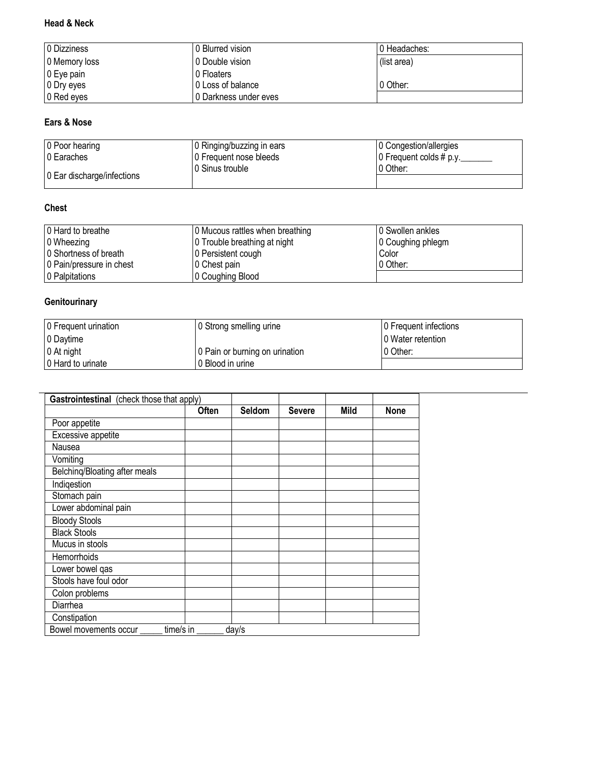## **Head & Neck**

| 0 Dizziness    | 0 Blurred vision      | 10 Headaches: |
|----------------|-----------------------|---------------|
| 0 Memory loss  | 0 Double vision       | (list area)   |
| $ 0 E$ ye pain | 0 Floaters            |               |
| 10 Dry eyes    | I 0 Loss of balance   | 0 Other:      |
| 0 Red eyes     | 0 Darkness under eves |               |

### **Ears & Nose**

| 0 Poor hearing             | 0 Ringing/buzzing in ears | 0 Congestion/allergies         |
|----------------------------|---------------------------|--------------------------------|
| 0 Earaches                 | 0 Frequent nose bleeds    | 0 Frequent colds # p.y._______ |
|                            | I0 Sinus trouble          | 10 Other:                      |
| 0 Ear discharge/infections |                           |                                |

#### **Chest**

| 0 Hard to breathe        | 0 Mucous rattles when breathing | 10 Swollen ankles |
|--------------------------|---------------------------------|-------------------|
| 0 Wheezing               | 0 Trouble breathing at night    | 0 Coughing phlegm |
| 0 Shortness of breath    | 0 Persistent cough              | Color             |
| 0 Pain/pressure in chest | 0 Chest pain                    | 10 Other:         |
| 0 Palpitations           | 0 Coughing Blood                |                   |

## **Genitourinary**

| 0 Frequent urination | 0 Strong smelling urine        | 0 Frequent infections |
|----------------------|--------------------------------|-----------------------|
| 0 Daytime            |                                | 0 Water retention     |
| 0 At night           | 0 Pain or burning on urination | 10 Other:             |
| 0 Hard to urinate    | 10 Blood in urine              |                       |

|                               | <b>Often</b> | Seldom | <b>Severe</b> | Mild | <b>None</b> |
|-------------------------------|--------------|--------|---------------|------|-------------|
| Poor appetite                 |              |        |               |      |             |
| Excessive appetite            |              |        |               |      |             |
| Nausea                        |              |        |               |      |             |
| Vomiting                      |              |        |               |      |             |
| Belching/Bloating after meals |              |        |               |      |             |
| Indigestion                   |              |        |               |      |             |
| Stomach pain                  |              |        |               |      |             |
| Lower abdominal pain          |              |        |               |      |             |
| <b>Bloody Stools</b>          |              |        |               |      |             |
| <b>Black Stools</b>           |              |        |               |      |             |
| Mucus in stools               |              |        |               |      |             |
| Hemorrhoids                   |              |        |               |      |             |
| Lower bowel qas               |              |        |               |      |             |
| Stools have foul odor         |              |        |               |      |             |
| Colon problems                |              |        |               |      |             |
| Diarrhea                      |              |        |               |      |             |
| Constipation                  |              |        |               |      |             |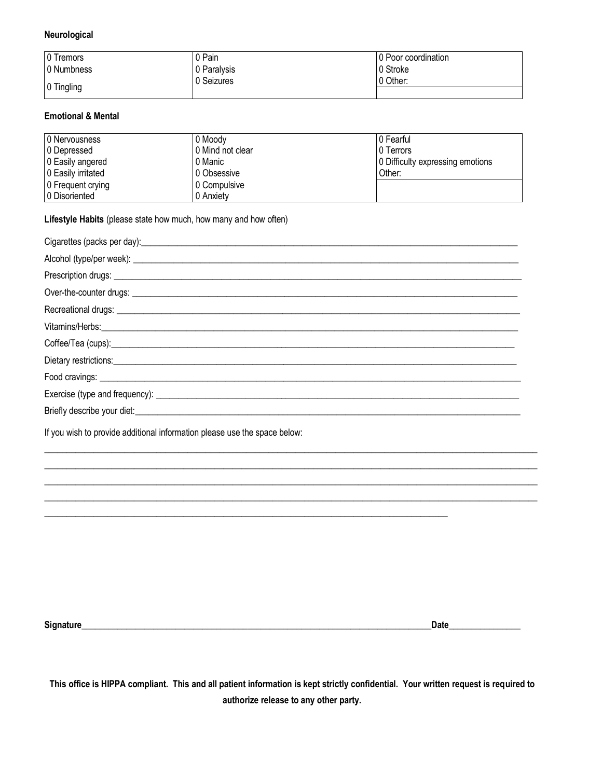#### **Neurological**

| 0 Tremors  | 0 Pain      | 0 Poor coordination |
|------------|-------------|---------------------|
| 0 Numbness | 0 Paralysis | 0 Stroke            |
|            | 0 Seizures  | 0 Other:            |
| 0 Tingling |             |                     |

#### **Emotional & Mental**

| 0 Nervousness      | 0 Moodv          | 10 Fearful                       |
|--------------------|------------------|----------------------------------|
| 0 Depressed        | 0 Mind not clear | <b>10 Terrors</b>                |
| 0 Easily angered   | 0 Manic          | 0 Difficulty expressing emotions |
| 0 Easily irritated | 10 Obsessive     | Other:                           |
| 0 Frequent crying  | 0 Compulsive     |                                  |
| 0 Disoriented      | 0 Anxiety        |                                  |

**Lifestyle Habits** (please state how much, how many and how often)

| Cigarettes (packs per day): example and contract the contract of the contract of the contract of the contract of the contract of the contract of the contract of the contract of the contract of the contract of the contract |
|-------------------------------------------------------------------------------------------------------------------------------------------------------------------------------------------------------------------------------|
|                                                                                                                                                                                                                               |
|                                                                                                                                                                                                                               |
|                                                                                                                                                                                                                               |
|                                                                                                                                                                                                                               |
| Vitamins/Herbs: <u>Communications and the contract of the contract of the contract of the contract of the contract of</u>                                                                                                     |
|                                                                                                                                                                                                                               |
|                                                                                                                                                                                                                               |
|                                                                                                                                                                                                                               |
|                                                                                                                                                                                                                               |
|                                                                                                                                                                                                                               |

 $\_$  , and the set of the set of the set of the set of the set of the set of the set of the set of the set of the set of the set of the set of the set of the set of the set of the set of the set of the set of the set of th  $\_$  , and the set of the set of the set of the set of the set of the set of the set of the set of the set of the set of the set of the set of the set of the set of the set of the set of the set of the set of the set of th  $\_$  , and the set of the set of the set of the set of the set of the set of the set of the set of the set of the set of the set of the set of the set of the set of the set of the set of the set of the set of the set of th  $\_$  , and the set of the set of the set of the set of the set of the set of the set of the set of the set of the set of the set of the set of the set of the set of the set of the set of the set of the set of the set of th

\_\_\_\_\_\_\_\_\_\_\_\_\_\_\_\_\_\_\_\_\_\_\_\_\_\_\_\_\_\_\_\_\_\_\_\_\_\_\_\_\_\_\_\_\_\_\_\_\_\_\_\_\_\_\_\_\_\_\_\_\_\_\_\_\_\_\_\_\_\_\_\_\_\_\_\_\_\_\_\_\_\_\_\_\_\_\_\_\_\_

If you wish to provide additional information please use the space below:

**Signature\_\_\_\_\_\_\_\_\_\_\_\_\_\_\_\_\_\_\_\_\_\_\_\_\_\_\_\_\_\_\_\_\_\_\_\_\_\_\_\_\_\_\_\_\_\_\_\_\_\_\_\_\_\_\_\_\_\_\_\_\_\_\_\_\_\_\_\_\_\_\_\_\_\_\_\_\_\_Date\_\_\_\_\_\_\_\_\_\_\_\_\_\_\_\_**

**This office is HIPPA compliant. This and all patient information is kept strictly confidential. Your written request is required to authorize release to any other party.**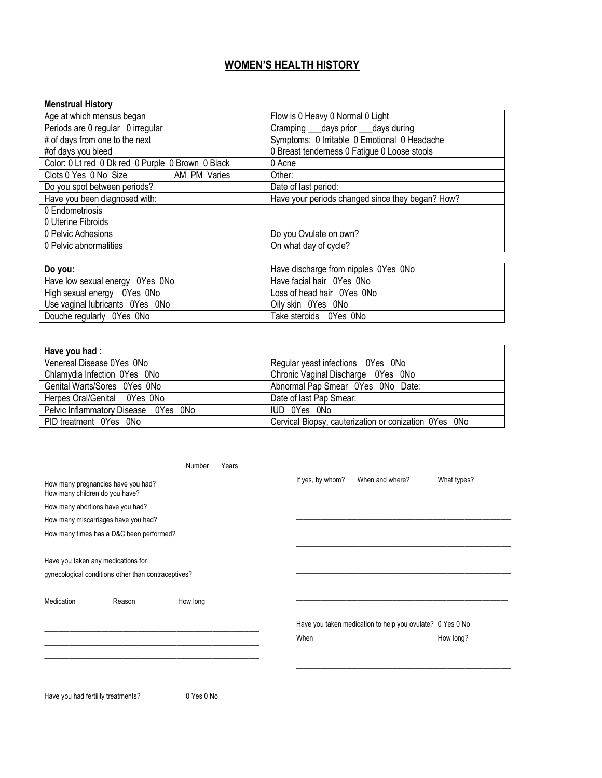# **WOMEN'S HEALTH HISTORY**

#### **Menstrual History**

| Age at which mensus began                         | Flow is 0 Heavy 0 Normal 0 Light                 |  |  |
|---------------------------------------------------|--------------------------------------------------|--|--|
| Periods are 0 regular 0 irregular                 | Cramping ___ days prior ___ days during          |  |  |
| # of days from one to the next                    | Symptoms: 0 Irritable 0 Emotional 0 Headache     |  |  |
| #of days you bleed                                | 0 Breast tenderness 0 Fatigue 0 Loose stools     |  |  |
| Color: 0 Lt red 0 Dk red 0 Purple 0 Brown 0 Black | 0 Acne                                           |  |  |
| Clots 0 Yes 0 No Size<br>AM PM Varies             | Other:                                           |  |  |
| Do you spot between periods?                      | Date of last period:                             |  |  |
| Have you been diagnosed with:                     | Have your periods changed since they began? How? |  |  |
| 0 Endometriosis                                   |                                                  |  |  |
| 0 Uterine Fibroids                                |                                                  |  |  |
| 0 Pelvic Adhesions                                | Do you Ovulate on own?                           |  |  |
| 0 Pelvic abnormalities                            | On what day of cycle?                            |  |  |
|                                                   |                                                  |  |  |
| Do you:                                           | Have discharge from nipples 0Yes 0No             |  |  |
| $\cdots$<br>$\sim$<br>$\sim$ $\sim$ $\sim$        | $\cdots$ $\cdots$ $\cdots$                       |  |  |

| PA YAMI                         | <b>TRANG GIOOTIGING TIOTIT IIIDDIGO</b> OT CO OI VO |
|---------------------------------|-----------------------------------------------------|
| Have low sexual energy 0Yes 0No | Have facial hair OYes ONo                           |
| High sexual energy 0Yes 0No     | Loss of head hair OYes ONo                          |
| Use vaginal lubricants OYes ONo | Oily skin OYes ONo                                  |
| Douche regularly OYes ONo       | Take steroids 0Yes 0No                              |

| Have you had:                        |                                                       |
|--------------------------------------|-------------------------------------------------------|
| Venereal Disease 0Yes 0No            | Regular yeast infections OYes ONo                     |
| Chlamydia Infection OYes ONo         | Chronic Vaginal Discharge 0Yes 0No                    |
| Genital Warts/Sores 0Yes 0No         | Abnormal Pap Smear 0Yes 0No Date:                     |
| Herpes Oral/Genital 0Yes 0No         | Date of last Pap Smear:                               |
| Pelvic Inflammatory Disease 0Yes 0No | IUD OYes ONo                                          |
| PID treatment 0Yes 0No               | Cervical Biopsy, cauterization or conization OYes ONo |

|                                    |                                                     | Number     | Years |                  |                                                           |             |
|------------------------------------|-----------------------------------------------------|------------|-------|------------------|-----------------------------------------------------------|-------------|
| How many children do you have?     | How many pregnancies have you had?                  |            |       | If yes, by whom? | When and where?                                           | What types? |
|                                    | How many abortions have you had?                    |            |       |                  |                                                           |             |
|                                    | How many miscarriages have you had?                 |            |       |                  |                                                           |             |
|                                    | How many times has a D&C been performed?            |            |       |                  |                                                           |             |
|                                    |                                                     |            |       |                  |                                                           |             |
|                                    | Have you taken any medications for                  |            |       |                  |                                                           |             |
|                                    | gynecological conditions other than contraceptives? |            |       |                  |                                                           |             |
| Medication                         | Reason                                              | How long   |       |                  |                                                           |             |
|                                    |                                                     |            |       |                  | Have you taken medication to help you ovulate? 0 Yes 0 No |             |
|                                    |                                                     |            |       | When             |                                                           | How long?   |
|                                    |                                                     |            |       |                  |                                                           |             |
|                                    |                                                     |            |       |                  |                                                           |             |
| Have you had fertility treatments? |                                                     | 0 Yes 0 No |       |                  |                                                           |             |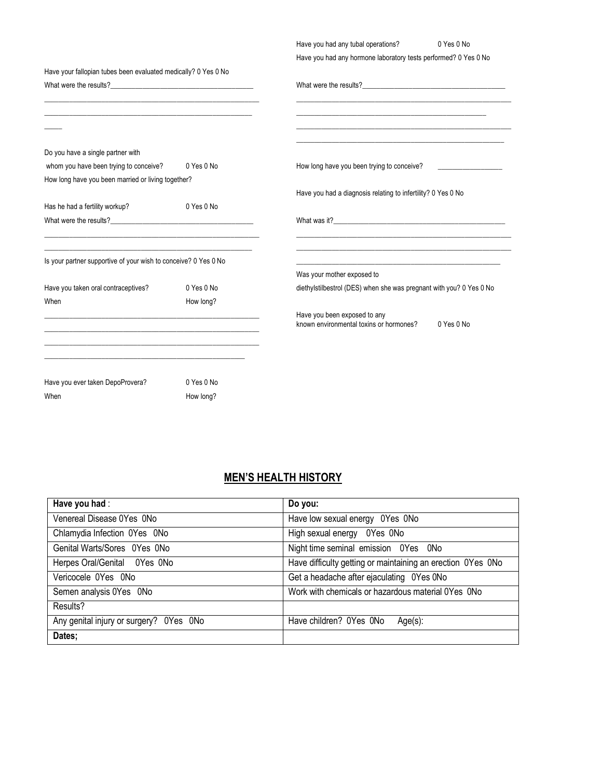|                                                                                                                                                                                                                                                 |            | Have you had any tubal operations?                                                                                    | 0 Yes 0 No |  |  |
|-------------------------------------------------------------------------------------------------------------------------------------------------------------------------------------------------------------------------------------------------|------------|-----------------------------------------------------------------------------------------------------------------------|------------|--|--|
| Have your fallopian tubes been evaluated medically? 0 Yes 0 No                                                                                                                                                                                  |            | Have you had any hormone laboratory tests performed? 0 Yes 0 No                                                       |            |  |  |
| What were the results?                                                                                                                                                                                                                          |            |                                                                                                                       |            |  |  |
|                                                                                                                                                                                                                                                 |            | <u> 1989 - Johann Stoff, deutscher Stoff, der Stoff, der Stoff, der Stoff, der Stoff, der Stoff, der Stoff, der S</u> |            |  |  |
|                                                                                                                                                                                                                                                 |            |                                                                                                                       |            |  |  |
| Do you have a single partner with                                                                                                                                                                                                               |            |                                                                                                                       |            |  |  |
| whom you have been trying to conceive?                                                                                                                                                                                                          | 0 Yes 0 No | How long have you been trying to conceive?                                                                            |            |  |  |
| How long have you been married or living together?                                                                                                                                                                                              |            |                                                                                                                       |            |  |  |
|                                                                                                                                                                                                                                                 |            | Have you had a diagnosis relating to infertility? 0 Yes 0 No                                                          |            |  |  |
| Has he had a fertility workup?                                                                                                                                                                                                                  | 0 Yes 0 No |                                                                                                                       |            |  |  |
|                                                                                                                                                                                                                                                 |            | What was it?                                                                                                          |            |  |  |
| Is your partner supportive of your wish to conceive? 0 Yes 0 No                                                                                                                                                                                 |            |                                                                                                                       |            |  |  |
|                                                                                                                                                                                                                                                 |            | Was your mother exposed to                                                                                            |            |  |  |
| Have you taken oral contraceptives?                                                                                                                                                                                                             | 0 Yes 0 No | diethylstilbestrol (DES) when she was pregnant with you? 0 Yes 0 No                                                   |            |  |  |
| When                                                                                                                                                                                                                                            | How long?  |                                                                                                                       |            |  |  |
| <u> 1989 - Johann John Stein, mars an deutscher Stein und der Stein und der Stein und der Stein und der Stein und</u><br><u> 1989 - Johann John Stone, markin film yn y brening yn y brening yn y brening yn y brening yn y brening y breni</u> |            | Have you been exposed to any<br>known environmental toxins or hormones?                                               | 0 Yes 0 No |  |  |
| <u> 1989 - Johann John Stone, Amerikaansk politiker (* 1908)</u>                                                                                                                                                                                |            |                                                                                                                       |            |  |  |
|                                                                                                                                                                                                                                                 |            |                                                                                                                       |            |  |  |
| Have you ever taken DepoProvera?                                                                                                                                                                                                                | 0 Yes 0 No |                                                                                                                       |            |  |  |
| When                                                                                                                                                                                                                                            | How long?  |                                                                                                                       |            |  |  |

# **MEN'S HEALTH HISTORY**

| Have you had:                           | Do you:                                                     |
|-----------------------------------------|-------------------------------------------------------------|
| Venereal Disease 0Yes 0No               | Have low sexual energy OYes ONo                             |
| Chlamydia Infection 0Yes 0No            | High sexual energy 0Yes 0No                                 |
| Genital Warts/Sores 0Yes 0No            | Night time seminal emission 0Yes 0No                        |
| Herpes Oral/Genital 0Yes 0No            | Have difficulty getting or maintaining an erection OYes ONo |
| Vericocele 0Yes 0No                     | Get a headache after ejaculating 0Yes 0No                   |
| Semen analysis 0Yes 0No                 | Work with chemicals or hazardous material OYes ONo          |
| Results?                                |                                                             |
| Any genital injury or surgery? 0Yes 0No | Have children? OYes ONo<br>$Age(s)$ :                       |
| Dates;                                  |                                                             |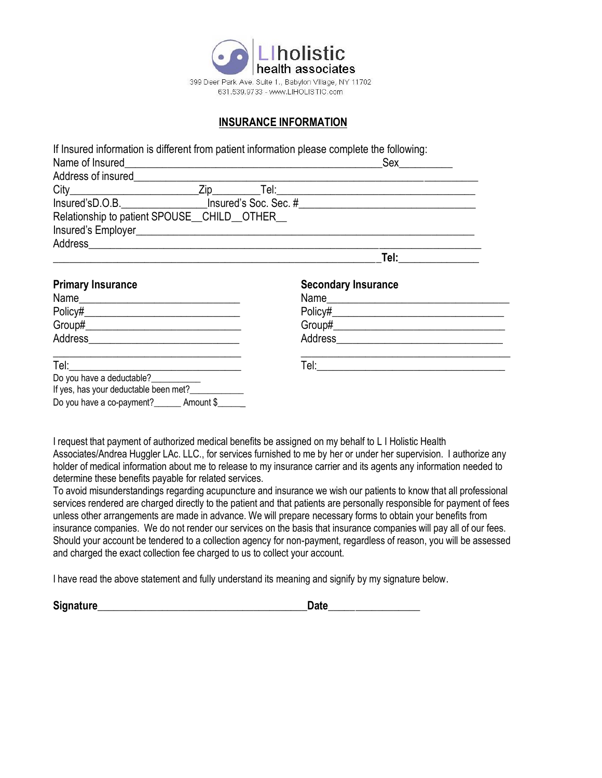

### **INSURANCE INFORMATION**

|                                                                                                                                                               | If Insured information is different from patient information please complete the following: |                            |                                                                                                                       |  |
|---------------------------------------------------------------------------------------------------------------------------------------------------------------|---------------------------------------------------------------------------------------------|----------------------------|-----------------------------------------------------------------------------------------------------------------------|--|
| Address of insured <b>Address of insured</b>                                                                                                                  |                                                                                             |                            |                                                                                                                       |  |
|                                                                                                                                                               |                                                                                             |                            |                                                                                                                       |  |
|                                                                                                                                                               |                                                                                             |                            |                                                                                                                       |  |
| Relationship to patient SPOUSE_CHILD_OTHER_                                                                                                                   |                                                                                             |                            |                                                                                                                       |  |
|                                                                                                                                                               |                                                                                             |                            |                                                                                                                       |  |
|                                                                                                                                                               |                                                                                             |                            |                                                                                                                       |  |
| <b>Primary Insurance</b>                                                                                                                                      |                                                                                             | <b>Secondary Insurance</b> |                                                                                                                       |  |
|                                                                                                                                                               |                                                                                             |                            | Name                                                                                                                  |  |
|                                                                                                                                                               |                                                                                             |                            |                                                                                                                       |  |
|                                                                                                                                                               |                                                                                             |                            |                                                                                                                       |  |
|                                                                                                                                                               |                                                                                             |                            |                                                                                                                       |  |
| <u> 1989 - Jan James James Jan James James James James James James James James James James James James James Jam</u><br>Tel: ________________________________ |                                                                                             |                            | <u> 1989 - Johann Stoff, deutscher Stoff, der Stoff, der Stoff, der Stoff, der Stoff, der Stoff, der Stoff, der S</u> |  |
| Do you have a deductable?___________<br>If yes, has your deductable been met?                                                                                 |                                                                                             |                            |                                                                                                                       |  |
| Do you have a co-payment? Amount \$                                                                                                                           |                                                                                             |                            |                                                                                                                       |  |

I request that payment of authorized medical benefits be assigned on my behalf to L I Holistic Health Associates/Andrea Huggler LAc. LLC., for services furnished to me by her or under her supervision. I authorize any holder of medical information about me to release to my insurance carrier and its agents any information needed to determine these benefits payable for related services.

To avoid misunderstandings regarding acupuncture and insurance we wish our patients to know that all professional services rendered are charged directly to the patient and that patients are personally responsible for payment of fees unless other arrangements are made in advance. We will prepare necessary forms to obtain your benefits from insurance companies. We do not render our services on the basis that insurance companies will pay all of our fees. Should your account be tendered to a collection agency for non-payment, regardless of reason, you will be assessed and charged the exact collection fee charged to us to collect your account.

I have read the above statement and fully understand its meaning and signify by my signature below.

**Signature\_\_\_\_\_\_\_\_\_\_\_\_\_\_\_\_\_\_\_\_\_\_\_\_\_\_\_\_\_\_\_\_\_\_\_\_\_\_\_Date\_\_\_\_\_\_\_\_\_\_\_\_\_\_\_\_\_**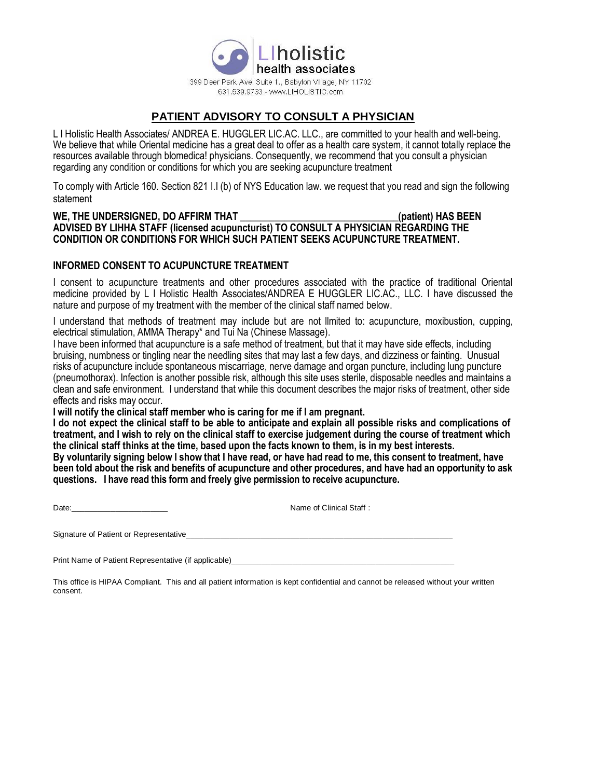health associates 399 Deer Park Ave. Suite 1., Babylon Village, NY 11702 631.539.9733 - www.LIHOLISTIC.com

holistic

# **PATIENT ADVISORY TO CONSULT A PHYSICIAN**

L I Holistic Health Associates/ ANDREA E. HUGGLER LIC.AC. LLC., are committed to your health and well-being. We believe that while Oriental medicine has a great deal to offer as a health care system, it cannot totally replace the resources available through blomedica! physicians. Consequently, we recommend that you consult a physician regarding any condition or conditions for which you are seeking acupuncture treatment

To comply with Article 160. Section 821 I.I (b) of NYS Education law. we request that you read and sign the following statement

#### WE, THE UNDERSIGNED, DO AFFIRM THAT **WE ALL ASSESS** (patient) HAS BEEN **ADVISED BY LIHHA STAFF (licensed acupuncturist) TO CONSULT A PHYSICIAN REGARDING THE CONDITION OR CONDITIONS FOR WHICH SUCH PATIENT SEEKS ACUPUNCTURE TREATMENT.**

#### **INFORMED CONSENT TO ACUPUNCTURE TREATMENT**

I consent to acupuncture treatments and other procedures associated with the practice of traditional Oriental medicine provided by L I Holistic Health Associates/ANDREA E HUGGLER LIC.AC., LLC. I have discussed the nature and purpose of my treatment with the member of the clinical staff named below.

I understand that methods of treatment may include but are not llmited to: acupuncture, moxibustion, cupping, electrical stimulation, AMMA Therapy\* and Tui Na (Chinese Massage).

I have been informed that acupuncture is a safe method of treatment, but that it may have side effects, including bruising, numbness or tingling near the needling sites that may last a few days, and dizziness or fainting. Unusual risks of acupuncture include spontaneous miscarriage, nerve damage and organ puncture, including lung puncture (pneumothorax). Infection is another possible risk, although this site uses sterile, disposable needles and maintains a clean and safe environment. I understand that while this document describes the major risks of treatment, other side effects and risks may occur.

**I will notify the clinical staff member who is caring for me if I am pregnant.**

**I do not expect the clinical staff to be able to anticipate and explain all possible risks and complications of treatment, and I wish to rely on the clinical staff to exercise judgement during the course of treatment which the clinical staff thinks at the time, based upon the facts known to them, is in my best interests.**

**By voluntarily signing below I show that I have read, or have had read to me, this consent to treatment, have been told about the risk and benefits of acupuncture and other procedures, and have had an opportunity to ask questions. I have read this form and freely give permission to receive acupuncture.**

Date:\_\_\_\_\_\_\_\_\_\_\_\_\_\_\_\_\_\_\_\_\_\_ Name of Clinical Staff :

Signature of Patient or Representative

Print Name of Patient Representative (if applicable)

This office is HIPAA Compliant. This and all patient information is kept confidential and cannot be released without your written consent.